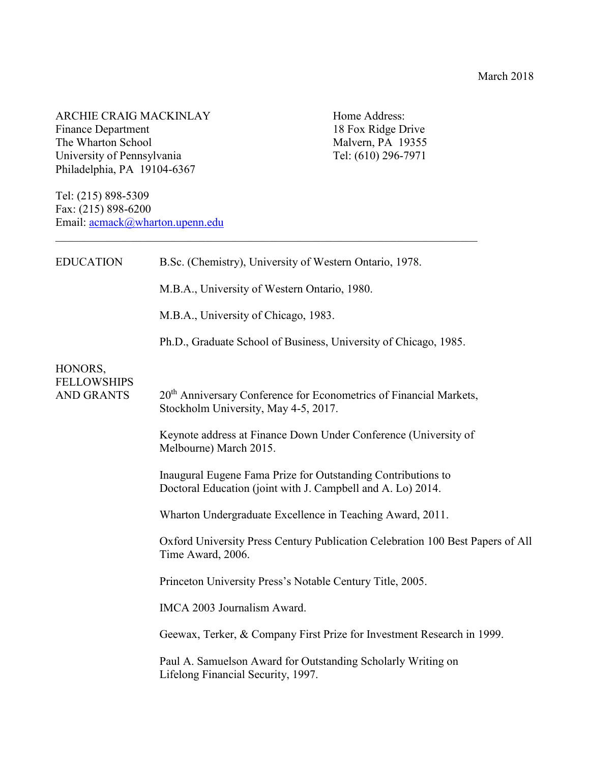ARCHIE CRAIG MACKINLAY Home Address:<br>
Finance Department 18 Fox Ridge Drive Finance Department 18 Fox Ridge Drive<br>The Wharton School 18 Fox Ridge Drive<br>Malvern, PA 19355 The Wharton School Malvern, PA 19355<br>University of Pennsylvania Tel: (610) 296-7971 University of Pennsylvania Philadelphia, PA 19104-6367

Tel: (215) 898-5309 Fax: (215) 898-6200 Email: [acmack@wharton.upenn.edu](mailto:acmack@wharton.upenn.edu)

| <b>EDUCATION</b>                                   | B.Sc. (Chemistry), University of Western Ontario, 1978.                                                                     |
|----------------------------------------------------|-----------------------------------------------------------------------------------------------------------------------------|
|                                                    | M.B.A., University of Western Ontario, 1980.                                                                                |
|                                                    | M.B.A., University of Chicago, 1983.                                                                                        |
|                                                    | Ph.D., Graduate School of Business, University of Chicago, 1985.                                                            |
| HONORS,<br><b>FELLOWSHIPS</b><br><b>AND GRANTS</b> | 20 <sup>th</sup> Anniversary Conference for Econometrics of Financial Markets,<br>Stockholm University, May 4-5, 2017.      |
|                                                    | Keynote address at Finance Down Under Conference (University of<br>Melbourne) March 2015.                                   |
|                                                    | Inaugural Eugene Fama Prize for Outstanding Contributions to<br>Doctoral Education (joint with J. Campbell and A. Lo) 2014. |
|                                                    | Wharton Undergraduate Excellence in Teaching Award, 2011.                                                                   |
|                                                    | Oxford University Press Century Publication Celebration 100 Best Papers of All<br>Time Award, 2006.                         |
|                                                    | Princeton University Press's Notable Century Title, 2005.                                                                   |
|                                                    | IMCA 2003 Journalism Award.                                                                                                 |
|                                                    | Geewax, Terker, & Company First Prize for Investment Research in 1999.                                                      |
|                                                    | Paul A. Samuelson Award for Outstanding Scholarly Writing on<br>Lifelong Financial Security, 1997.                          |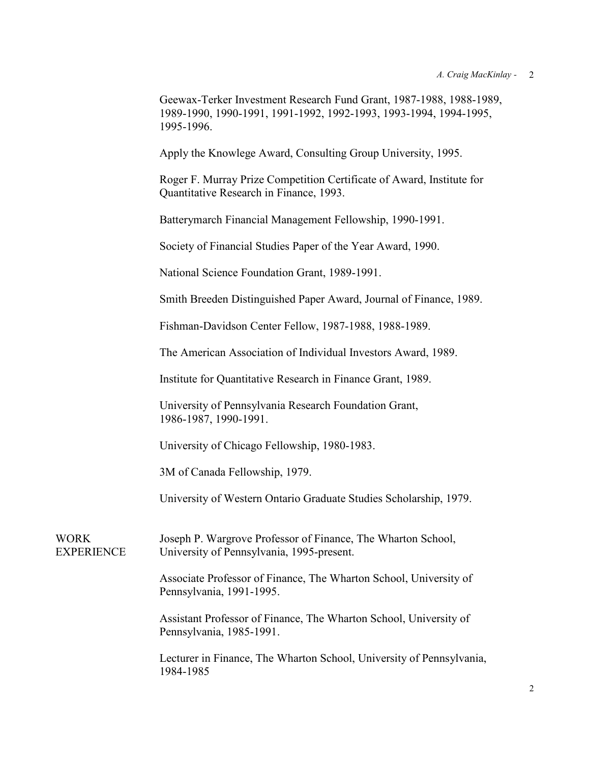Geewax-Terker Investment Research Fund Grant, 1987-1988, 1988-1989, 1989-1990, 1990-1991, 1991-1992, 1992-1993, 1993-1994, 1994-1995, 1995-1996.

Apply the Knowlege Award, Consulting Group University, 1995.

Roger F. Murray Prize Competition Certificate of Award, Institute for Quantitative Research in Finance, 1993.

Batterymarch Financial Management Fellowship, 1990-1991.

Society of Financial Studies Paper of the Year Award, 1990.

National Science Foundation Grant, 1989-1991.

Smith Breeden Distinguished Paper Award, Journal of Finance, 1989.

Fishman-Davidson Center Fellow, 1987-1988, 1988-1989.

The American Association of Individual Investors Award, 1989.

Institute for Quantitative Research in Finance Grant, 1989.

University of Pennsylvania Research Foundation Grant, 1986-1987, 1990-1991.

University of Chicago Fellowship, 1980-1983.

3M of Canada Fellowship, 1979.

University of Western Ontario Graduate Studies Scholarship, 1979.

WORK Joseph P. Wargrove Professor of Finance, The Wharton School, EXPERIENCE University of Pennsylvania, 1995-present.

> Associate Professor of Finance, The Wharton School, University of Pennsylvania, 1991-1995.

> Assistant Professor of Finance, The Wharton School, University of Pennsylvania, 1985-1991.

Lecturer in Finance, The Wharton School, University of Pennsylvania, 1984-1985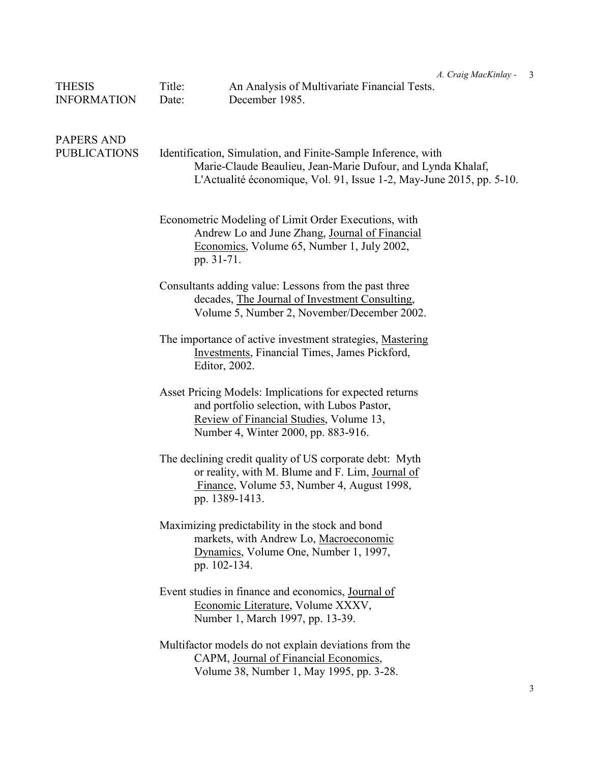| <b>THESIS</b><br><b>INFORMATION</b>      | Title:<br>Date:                                                                                                                                                                                      | A. Craig MacKinlay -<br>An Analysis of Multivariate Financial Tests.<br>December 1985.                                                                                                   | $\overline{3}$ |  |
|------------------------------------------|------------------------------------------------------------------------------------------------------------------------------------------------------------------------------------------------------|------------------------------------------------------------------------------------------------------------------------------------------------------------------------------------------|----------------|--|
| <b>PAPERS AND</b><br><b>PUBLICATIONS</b> | Identification, Simulation, and Finite-Sample Inference, with<br>Marie-Claude Beaulieu, Jean-Marie Dufour, and Lynda Khalaf,<br>L'Actualité économique, Vol. 91, Issue 1-2, May-June 2015, pp. 5-10. |                                                                                                                                                                                          |                |  |
|                                          |                                                                                                                                                                                                      | Econometric Modeling of Limit Order Executions, with<br>Andrew Lo and June Zhang, Journal of Financial<br>Economics, Volume 65, Number 1, July 2002,<br>pp. 31-71.                       |                |  |
|                                          |                                                                                                                                                                                                      | Consultants adding value: Lessons from the past three<br>decades, The Journal of Investment Consulting,<br>Volume 5, Number 2, November/December 2002.                                   |                |  |
|                                          |                                                                                                                                                                                                      | The importance of active investment strategies, Mastering<br><b>Investments</b> , Financial Times, James Pickford,<br>Editor, 2002.                                                      |                |  |
|                                          |                                                                                                                                                                                                      | Asset Pricing Models: Implications for expected returns<br>and portfolio selection, with Lubos Pastor,<br>Review of Financial Studies, Volume 13,<br>Number 4, Winter 2000, pp. 883-916. |                |  |
|                                          |                                                                                                                                                                                                      | The declining credit quality of US corporate debt: Myth<br>or reality, with M. Blume and F. Lim, Journal of<br>Finance, Volume 53, Number 4, August 1998,<br>pp. 1389-1413.              |                |  |
|                                          |                                                                                                                                                                                                      | Maximizing predictability in the stock and bond<br>markets, with Andrew Lo, Macroeconomic<br>Dynamics, Volume One, Number 1, 1997,<br>pp. 102-134.                                       |                |  |
|                                          |                                                                                                                                                                                                      | Event studies in finance and economics, Journal of<br>Economic Literature, Volume XXXV,<br>Number 1, March 1997, pp. 13-39.                                                              |                |  |
|                                          |                                                                                                                                                                                                      | Multifactor models do not explain deviations from the<br>CAPM, Journal of Financial Economics,<br>Volume 38, Number 1, May 1995, pp. 3-28.                                               |                |  |
|                                          |                                                                                                                                                                                                      |                                                                                                                                                                                          | 3              |  |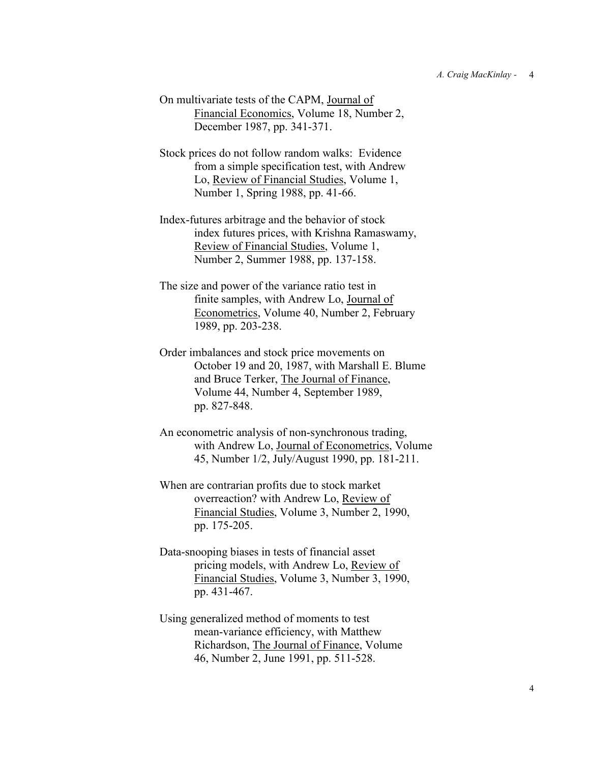- On multivariate tests of the CAPM, Journal of Financial Economics, Volume 18, Number 2, December 1987, pp. 341-371.
- Stock prices do not follow random walks: Evidence from a simple specification test, with Andrew Lo, Review of Financial Studies, Volume 1, Number 1, Spring 1988, pp. 41-66.
- Index-futures arbitrage and the behavior of stock index futures prices, with Krishna Ramaswamy, Review of Financial Studies, Volume 1, Number 2, Summer 1988, pp. 137-158.
- The size and power of the variance ratio test in finite samples, with Andrew Lo, Journal of Econometrics, Volume 40, Number 2, February 1989, pp. 203-238.
- Order imbalances and stock price movements on October 19 and 20, 1987, with Marshall E. Blume and Bruce Terker, The Journal of Finance, Volume 44, Number 4, September 1989, pp. 827-848.
- An econometric analysis of non-synchronous trading, with Andrew Lo, Journal of Econometrics, Volume 45, Number 1/2, July/August 1990, pp. 181-211.
- When are contrarian profits due to stock market overreaction? with Andrew Lo, Review of Financial Studies, Volume 3, Number 2, 1990, pp. 175-205.
- Data-snooping biases in tests of financial asset pricing models, with Andrew Lo, Review of Financial Studies, Volume 3, Number 3, 1990, pp. 431-467.
- Using generalized method of moments to test mean-variance efficiency, with Matthew Richardson, The Journal of Finance, Volume 46, Number 2, June 1991, pp. 511-528.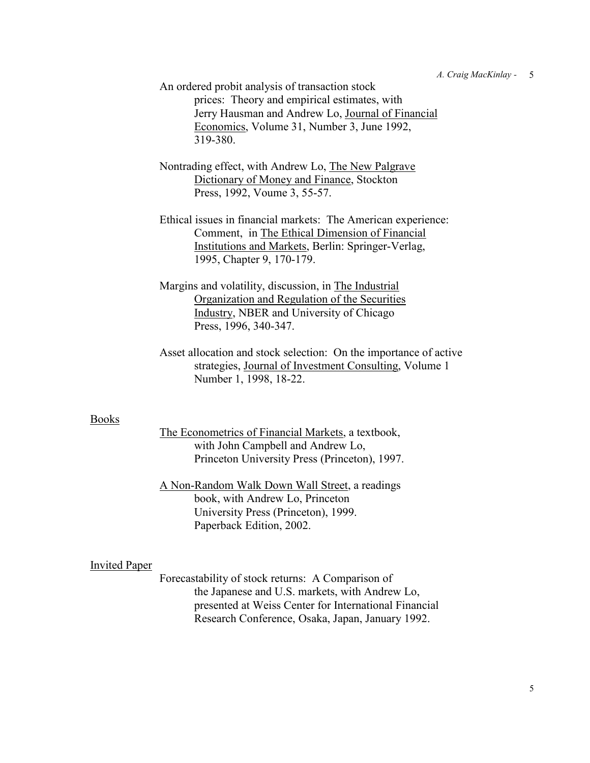An ordered probit analysis of transaction stock prices: Theory and empirical estimates, with Jerry Hausman and Andrew Lo, Journal of Financial Economics, Volume 31, Number 3, June 1992, 319-380.

- Nontrading effect, with Andrew Lo, The New Palgrave Dictionary of Money and Finance, Stockton Press, 1992, Voume 3, 55-57.
- Ethical issues in financial markets: The American experience: Comment, in The Ethical Dimension of Financial Institutions and Markets, Berlin: Springer-Verlag, 1995, Chapter 9, 170-179.
- Margins and volatility, discussion, in The Industrial Organization and Regulation of the Securities Industry, NBER and University of Chicago Press, 1996, 340-347.
- Asset allocation and stock selection: On the importance of active strategies, Journal of Investment Consulting, Volume 1 Number 1, 1998, 18-22.

## Books

The Econometrics of Financial Markets, a textbook, with John Campbell and Andrew Lo, Princeton University Press (Princeton), 1997.

A Non-Random Walk Down Wall Street, a readings book, with Andrew Lo, Princeton University Press (Princeton), 1999. Paperback Edition, 2002.

## Invited Paper

Forecastability of stock returns: A Comparison of the Japanese and U.S. markets, with Andrew Lo, presented at Weiss Center for International Financial Research Conference, Osaka, Japan, January 1992.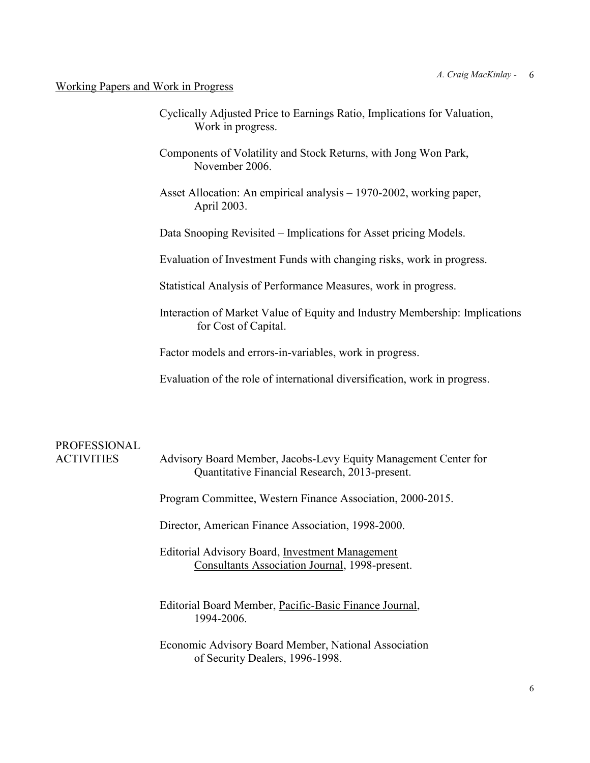## Working Papers and Work in Progress

- Cyclically Adjusted Price to Earnings Ratio, Implications for Valuation, Work in progress.
- Components of Volatility and Stock Returns, with Jong Won Park, November 2006.
- Asset Allocation: An empirical analysis 1970-2002, working paper, April 2003.
- Data Snooping Revisited Implications for Asset pricing Models.
- Evaluation of Investment Funds with changing risks, work in progress.

Statistical Analysis of Performance Measures, work in progress.

Interaction of Market Value of Equity and Industry Membership: Implications for Cost of Capital.

Factor models and errors-in-variables, work in progress.

Evaluation of the role of international diversification, work in progress.

## PROFESSIONAL

ACTIVITIES Advisory Board Member, Jacobs-Levy Equity Management Center for Quantitative Financial Research, 2013-present.

Program Committee, Western Finance Association, 2000-2015.

Director, American Finance Association, 1998-2000.

- Editorial Advisory Board, Investment Management Consultants Association Journal, 1998-present.
- Editorial Board Member, Pacific-Basic Finance Journal, 1994-2006.
- Economic Advisory Board Member, National Association of Security Dealers, 1996-1998.